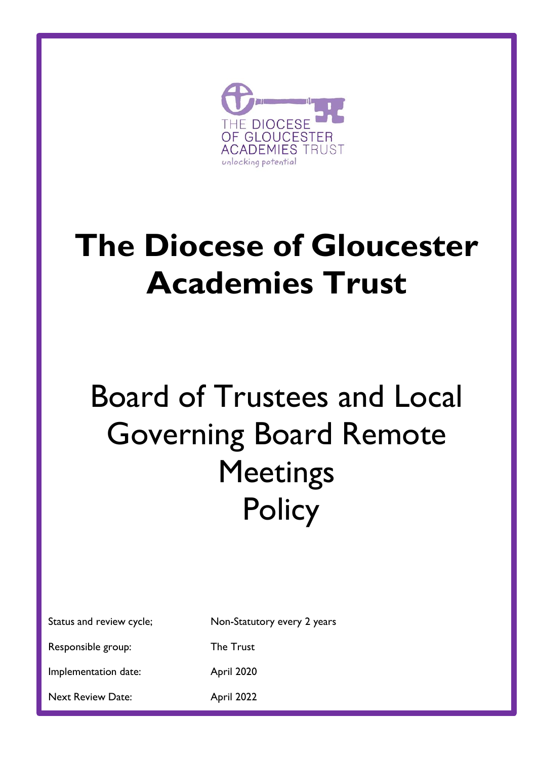

# **The Diocese of Gloucester Academies Trust**

# Board of Trustees and Local Governing Board Remote **Meetings Policy**

|  | Status and review cycle; |  |
|--|--------------------------|--|
|  |                          |  |

Non-Statutory every 2 years

Responsible group: The Trust

Implementation date: April 2020

Next Review Date: April 2022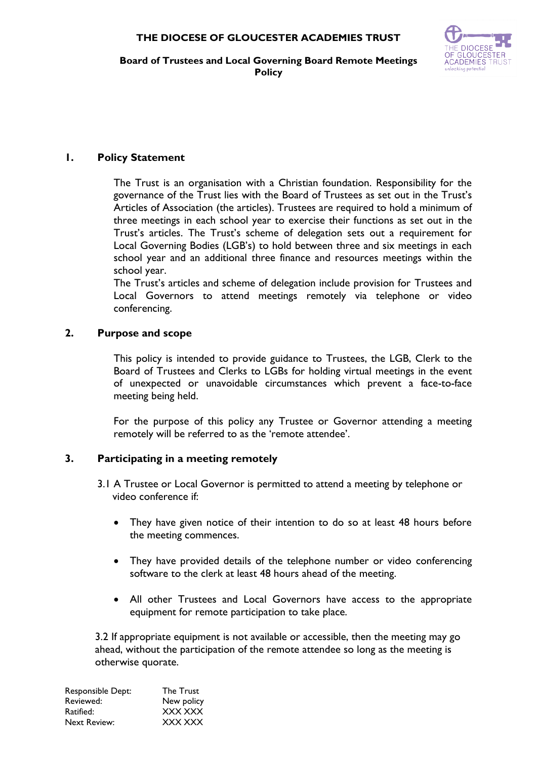

**Board of Trustees and Local Governing Board Remote Meetings Policy**

## **1. Policy Statement**

The Trust is an organisation with a Christian foundation. Responsibility for the governance of the Trust lies with the Board of Trustees as set out in the Trust's Articles of Association (the articles). Trustees are required to hold a minimum of three meetings in each school year to exercise their functions as set out in the Trust's articles. The Trust's scheme of delegation sets out a requirement for Local Governing Bodies (LGB's) to hold between three and six meetings in each school year and an additional three finance and resources meetings within the school year.

The Trust's articles and scheme of delegation include provision for Trustees and Local Governors to attend meetings remotely via telephone or video conferencing.

### **2. Purpose and scope**

This policy is intended to provide guidance to Trustees, the LGB, Clerk to the Board of Trustees and Clerks to LGBs for holding virtual meetings in the event of unexpected or unavoidable circumstances which prevent a face-to-face meeting being held.

For the purpose of this policy any Trustee or Governor attending a meeting remotely will be referred to as the 'remote attendee'.

## **3. Participating in a meeting remotely**

- 3.1 A Trustee or Local Governor is permitted to attend a meeting by telephone or video conference if:
	- They have given notice of their intention to do so at least 48 hours before the meeting commences.
	- They have provided details of the telephone number or video conferencing software to the clerk at least 48 hours ahead of the meeting.
	- All other Trustees and Local Governors have access to the appropriate equipment for remote participation to take place.

 3.2 If appropriate equipment is not available or accessible, then the meeting may go ahead, without the participation of the remote attendee so long as the meeting is otherwise quorate.

| Responsible Dept: | <b>The Trust</b> |
|-------------------|------------------|
| Reviewed:         | New policy       |
| Ratified:         | XXX XXX          |
| Next Review:      | XXX XXX          |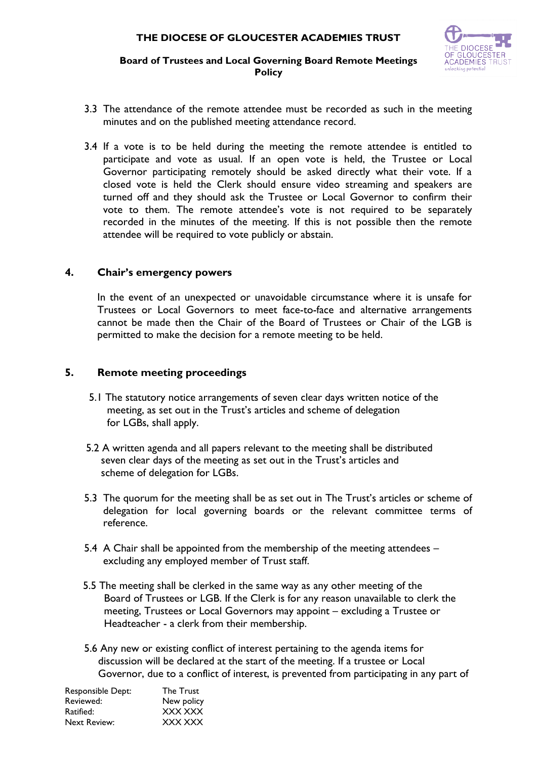

#### **Board of Trustees and Local Governing Board Remote Meetings Policy**

- 3.3 The attendance of the remote attendee must be recorded as such in the meeting minutes and on the published meeting attendance record.
- 3.4 If a vote is to be held during the meeting the remote attendee is entitled to participate and vote as usual. If an open vote is held, the Trustee or Local Governor participating remotely should be asked directly what their vote. If a closed vote is held the Clerk should ensure video streaming and speakers are turned off and they should ask the Trustee or Local Governor to confirm their vote to them. The remote attendee's vote is not required to be separately recorded in the minutes of the meeting. If this is not possible then the remote attendee will be required to vote publicly or abstain.

#### **4. Chair's emergency powers**

In the event of an unexpected or unavoidable circumstance where it is unsafe for Trustees or Local Governors to meet face-to-face and alternative arrangements cannot be made then the Chair of the Board of Trustees or Chair of the LGB is permitted to make the decision for a remote meeting to be held.

#### **5. Remote meeting proceedings**

- 5.1 The statutory notice arrangements of seven clear days written notice of the meeting, as set out in the Trust's articles and scheme of delegation for LGBs, shall apply.
- 5.2 A written agenda and all papers relevant to the meeting shall be distributed seven clear days of the meeting as set out in the Trust's articles and scheme of delegation for LGBs.
- 5.3 The quorum for the meeting shall be as set out in The Trust's articles or scheme of delegation for local governing boards or the relevant committee terms of reference.
- 5.4 A Chair shall be appointed from the membership of the meeting attendees excluding any employed member of Trust staff.
- 5.5 The meeting shall be clerked in the same way as any other meeting of the Board of Trustees or LGB. If the Clerk is for any reason unavailable to clerk the meeting, Trustees or Local Governors may appoint – excluding a Trustee or Headteacher - a clerk from their membership.
- 5.6 Any new or existing conflict of interest pertaining to the agenda items for discussion will be declared at the start of the meeting. If a trustee or Local Governor, due to a conflict of interest, is prevented from participating in any part of

| <b>The Trust</b> |
|------------------|
| New policy       |
| XXX XXX          |
| XXX XXX          |
|                  |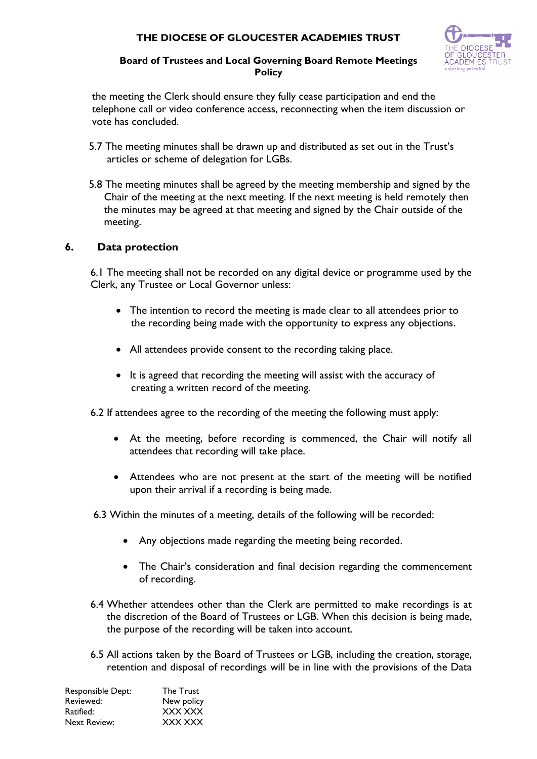## **THE DIOCESE OF GLOUCESTER ACADEMIES TRUST**



#### **Board of Trustees and Local Governing Board Remote Meetings Policy**

 the meeting the Clerk should ensure they fully cease participation and end the telephone call or video conference access, reconnecting when the item discussion or vote has concluded.

- 5.7 The meeting minutes shall be drawn up and distributed as set out in the Trust's articles or scheme of delegation for LGBs.
- 5.8 The meeting minutes shall be agreed by the meeting membership and signed by the Chair of the meeting at the next meeting. If the next meeting is held remotely then the minutes may be agreed at that meeting and signed by the Chair outside of the meeting.

### **6. Data protection**

6.1 The meeting shall not be recorded on any digital device or programme used by the Clerk, any Trustee or Local Governor unless:

- The intention to record the meeting is made clear to all attendees prior to the recording being made with the opportunity to express any objections.
- All attendees provide consent to the recording taking place.
- It is agreed that recording the meeting will assist with the accuracy of creating a written record of the meeting.

6.2 If attendees agree to the recording of the meeting the following must apply:

- At the meeting, before recording is commenced, the Chair will notify all attendees that recording will take place.
- Attendees who are not present at the start of the meeting will be notified upon their arrival if a recording is being made.
- 6.3 Within the minutes of a meeting, details of the following will be recorded:
	- Any objections made regarding the meeting being recorded.
	- The Chair's consideration and final decision regarding the commencement of recording.
- 6.4 Whether attendees other than the Clerk are permitted to make recordings is at the discretion of the Board of Trustees or LGB. When this decision is being made, the purpose of the recording will be taken into account.
- 6.5 All actions taken by the Board of Trustees or LGB, including the creation, storage, retention and disposal of recordings will be in line with the provisions of the Data

| Responsible Dept:   | The Trust  |
|---------------------|------------|
| Reviewed:           | New policy |
| Ratified:           | XXX XXX    |
| <b>Next Review:</b> | XXX XXX    |